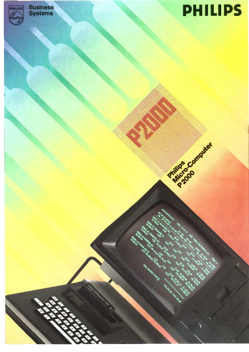

# PHILIPS

Partition Computer

E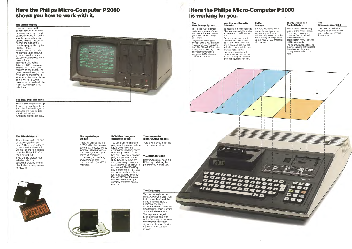## **Here the Philips Micro-Computer P 2000 shows you how to work with it.**

#### **The visual display**

Here you can see all the current data, text and work processes, and every input can be displayed first on the visual display, before **it** is printed. You can read, check, correct and edit on the visual display, guided by the Philips P2000. You can read stored data and bring it up-to-date. Or you can have the current statistics clearly presented in graphic form. The visual display has 24 rows of 80 characters. You can tilt it, move it, and regulate its brightness. The green picture is easy on the eyes and nonreflective. In short, even the visual display of the Philips P 2000 is constructed according to the most modern ergonomic principles.

#### **The Mini-Diskette drive**

Here at your disposal are up to two mini-diskette slots. In the mini-diskette drive, minidiskettes are read or data are stored on them. Changing diskettes is easy.

#### **The Mini-Diskette**

This will store up to 139.000 characters (approx. 70 pages). There is an index of contents on the diskette. **If**  you are looking for a certain page, the Philips P2000 will find it for you fast . If you want to protect your valuable data from accidental erasure, the minidiskette has a safety device for just this.





**The Input/Output** 

**Module** 

## **I Here the Philips Micro-Computer P 2000** <sup>1</sup>**is working for you.** .

This is for connecting the P 2000 with other devices. Several 1/0 modules will be available, allowing various possibilities, for example: control of production processes (IEC interface), asynchronous data communication (serial V 24

interface).

#### **ROM-Key (program storage module)**

You use them for changing programs. If you want to type a letter, you insert the appropriate ROM-Key "Word Processing" into the ROM-Key slot. If you want another program, just use another ROM-Key. ROM-Keys are sturdy and easy to use, and are kept in the cabinet when not needed. The ROM-Key has a maximum of 16 K-byte storage capacity and thus takes no capacity away from the user storage. The data stored in the ROM-Key is specially protected against erasure.

#### **The slot for the Input/Output Module**

Here's where you insert the input/output module.

#### **The ROM-Key Slot**

Here's where you insert the ROM-Key containing the program you want to use.

**The Keyboard** 

You use the keyboard just like a typewriter to enter your text. **It** consists of an alphanumeric key area and a numerical one like a calculator. The numerical key area facilitates rapid insertion of numerical characters. The keys are arranged as in a conventional typewriter. Each key has an automatic repeat. An acoustic signal attracts your attention if you make an operation

mistake.

| The<br><b>User Storage System</b>                                                                                                                                                                                                                                                                                                                                                           | <b>User Storage Capacity</b><br><b>Extension</b>                                                                                                                                                                                                                                                                                                                                                                                                     | <b>Buffer</b><br><b>Storage</b>                                                                                                                                  |
|---------------------------------------------------------------------------------------------------------------------------------------------------------------------------------------------------------------------------------------------------------------------------------------------------------------------------------------------------------------------------------------------|------------------------------------------------------------------------------------------------------------------------------------------------------------------------------------------------------------------------------------------------------------------------------------------------------------------------------------------------------------------------------------------------------------------------------------------------------|------------------------------------------------------------------------------------------------------------------------------------------------------------------|
| The Philips P 2000 storage<br>system reminds you of what<br>you have just entered, giving<br>you time to think it through<br>once more.<br>Do you want to change or<br>perhaps extend your program.<br>Do you want to rearrange the<br>text? The Philips P 2000 makes<br>it easy. The user storage in the<br>original equipment has a<br>generous 16.000 character<br>(16 K-byte) capacity. | It's possible to increase storage<br>if the user storage in the original<br>equipment is not sufficient for<br>you.<br>On request you can have it<br>increased to a maximum of<br>48 K-bytes, a volume which<br>only a few years ago was still<br>restricted to large installations.<br>If you do not need this<br>increased storage just yet,<br>perhaps you will need it in the<br>future. The Philips P 2000 will<br>grow with your requirements. | Here the characters a<br>signals for the visual<br>are stored short-term<br>automatically passed<br>visual display. The ca<br>approximately 4000<br>(4 K-bytes). |
|                                                                                                                                                                                                                                                                                                                                                                                             |                                                                                                                                                                                                                                                                                                                                                                                                                                                      |                                                                                                                                                                  |
| P2000<br>Ë                                                                                                                                                                                                                                                                                                                                                                                  | Basic Interpreter 16K<br>$-330s$<br>888888888888                                                                                                                                                                                                                                                                                                                                                                                                     |                                                                                                                                                                  |
| 88 A                                                                                                                                                                                                                                                                                                                                                                                        | 58888888888<br>888888888888<br>BBBBBBBBBBBB                                                                                                                                                                                                                                                                                                                                                                                                          | $\mathcal{L}$                                                                                                                                                    |



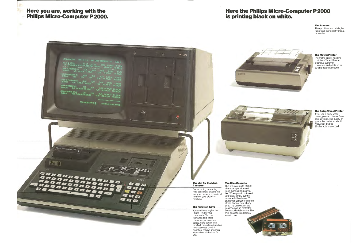**Here you are, working with the Philips Micro-Computer P2000.** 

 $\mathcal{L}_{\mathcal{R}}$ 

PHILIPS <sup>the</sup> anal electronics ltd **in the 3**  $12323$  $25,00$ . . . . 05 TY!<br>16.800.00 & VIER A12 20,00 13,0<br>0,00 12.215,27 -12.215,27 10011 09 HTCl<br>90.000.00 0,00 5,00 5,00<br>0,00 170,144,00-170,144,00 00-2000 04 PRINTER HAT 23 2,00<br>49.800,00 0,00 176.988,82-176.888,82 TOTAL BALANCE PP/SP || 730.264,83 1.044.400,00 W الم تا Basic Interpreter 16K<br>Pates **P2000** 'S as PHILIPS BBB **The slot for the Mini-The Mini-Cassette Cassette**  This will store up to 39.000 BBB characters per side and For recording or reading 四月四 keep them as long as you mini-cassettes; it works just ERE like. When you do not need le b like your cassette recorder at your data, simply put the home or your dictation **BBB** cassette in the drawer. You machine. can recall, correct or change stored texts or data at any time. The contents of the **The Function Keys**  cassette can be protected You use these to give the from accidental erasure. The Philips P 2000 your mini-cassette is extremely commands. You can easy to use. rearrange text, erase characters, or complete pages, have certain data recalled, have data stored on mini-cassettes or minidiskettes, or have important information printed out for you.

## **Here the Philips Micro-Computer P 2000 is printing black on white.**

#### **The Printers**

They print black on white, far faster and more neatly than a typewriter.



#### **The Matrix Printer**

The matrix printer has two qualities of type. It has an extensive supply of characters and prints up to 80 characters a second.



#### **The Daisy-Wheel Printer**

If you use a daisy-wheel printer, you can choose from several types. The quality of type is like that of an electric typewriter. It types 25 characters a second.